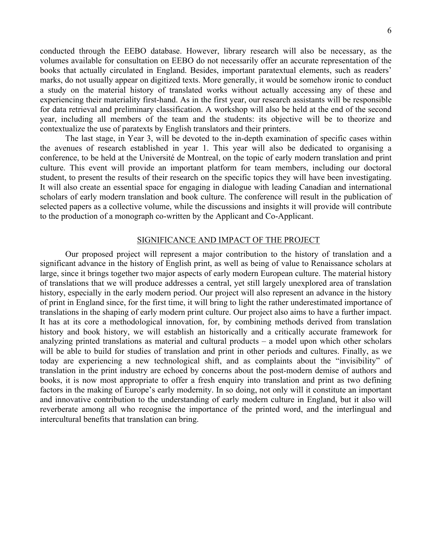conducted through the EEBO database. However, library research will also be necessary, as the volumes available for consultation on EEBO do not necessarily offer an accurate representation of the books that actually circulated in England. Besides, important paratextual elements, such as readers' marks, do not usually appear on digitized texts. More generally, it would be somehow ironic to conduct a study on the material history of translated works without actually accessing any of these and experiencing their materiality first-hand. As in the first year, our research assistants will be responsible for data retrieval and preliminary classification. A workshop will also be held at the end of the second year, including all members of the team and the students: its objective will be to theorize and contextualize the use of paratexts by English translators and their printers.

The last stage, in Year 3, will be devoted to the in-depth examination of specific cases within the avenues of research established in year 1. This year will also be dedicated to organising a conference, to be held at the Université de Montreal, on the topic of early modern translation and print culture. This event will provide an important platform for team members, including our doctoral student, to present the results of their research on the specific topics they will have been investigating. It will also create an essential space for engaging in dialogue with leading Canadian and international scholars of early modern translation and book culture. The conference will result in the publication of selected papers as a collective volume, while the discussions and insights it will provide will contribute to the production of a monograph co-written by the Applicant and Co-Applicant.

### SIGNIFICANCE AND IMPACT OF THE PROJECT

Our proposed project will represent a major contribution to the history of translation and a significant advance in the history of English print, as well as being of value to Renaissance scholars at large, since it brings together two major aspects of early modern European culture. The material history of translations that we will produce addresses a central, yet still largely unexplored area of translation history, especially in the early modern period. Our project will also represent an advance in the history of print in England since, for the first time, it will bring to light the rather underestimated importance of translations in the shaping of early modern print culture. Our project also aims to have a further impact. It has at its core a methodological innovation, for, by combining methods derived from translation history and book history, we will establish an historically and a critically accurate framework for analyzing printed translations as material and cultural products – a model upon which other scholars will be able to build for studies of translation and print in other periods and cultures. Finally, as we today are experiencing a new technological shift, and as complaints about the "invisibility" of translation in the print industry are echoed by concerns about the post-modern demise of authors and books, it is now most appropriate to offer a fresh enquiry into translation and print as two defining factors in the making of Europe's early modernity. In so doing, not only will it constitute an important and innovative contribution to the understanding of early modern culture in England, but it also will reverberate among all who recognise the importance of the printed word, and the interlingual and intercultural benefits that translation can bring.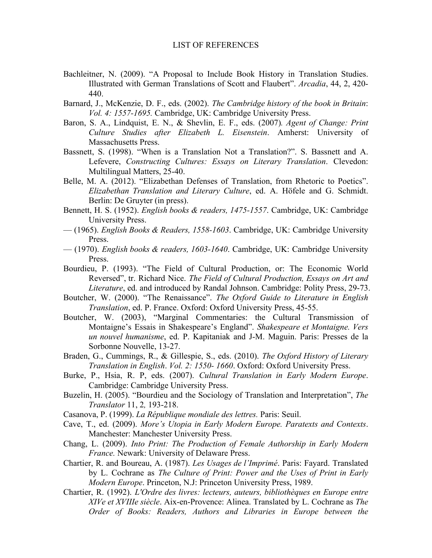- Bachleitner, N. (2009). "A Proposal to Include Book History in Translation Studies. Illustrated with German Translations of Scott and Flaubert". *Arcadia*, 44, 2, 420- 440.
- Barnard, J., McKenzie, D. F., eds. (2002). *The Cambridge history of the book in Britain*: *Vol. 4: 1557-1695.* Cambridge, UK: Cambridge University Press.
- Baron, S. A., Lindquist, E. N., & Shevlin, E. F., eds. (2007)*. Agent of Change: Print Culture Studies after Elizabeth L. Eisenstein*. Amherst: University of Massachusetts Press.
- Bassnett, S. (1998). "When is a Translation Not a Translation?". S. Bassnett and A. Lefevere, *Constructing Cultures: Essays on Literary Translation*. Clevedon: Multilingual Matters, 25-40.
- Belle, M. A. (2012). "Elizabethan Defenses of Translation, from Rhetoric to Poetics". *Elizabethan Translation and Literary Culture*, ed. A. Höfele and G. Schmidt. Berlin: De Gruyter (in press).
- Bennett, H. S. (1952). *English books & readers, 1475-1557*. Cambridge, UK: Cambridge University Press.
- (1965). *English Books & Readers, 1558-1603*. Cambridge, UK: Cambridge University Press.
- (1970). *English books & readers, 1603-1640*. Cambridge, UK: Cambridge University Press.
- Bourdieu, P. (1993). "The Field of Cultural Production, or: The Economic World Reversed", tr. Richard Nice. *The Field of Cultural Production, Essays on Art and Literature*, ed. and introduced by Randal Johnson. Cambridge: Polity Press, 29-73.
- Boutcher, W. (2000). "The Renaissance". *The Oxford Guide to Literature in English Translation*, ed. P. France. Oxford: Oxford University Press, 45-55.
- Boutcher, W. (2003), "Marginal Commentaries: the Cultural Transmission of Montaigne's Essais in Shakespeare's England". *Shakespeare et Montaigne. Vers un nouvel humanisme*, ed. P. Kapitaniak and J-M. Maguin. Paris: Presses de la Sorbonne Nouvelle, 13-27.
- Braden, G., Cummings, R., & Gillespie, S., eds. (2010). *The Oxford History of Literary Translation in English*. *Vol. 2: 1550- 1660*. Oxford: Oxford University Press.
- Burke, P., Hsia, R. P, eds. (2007). *Cultural Translation in Early Modern Europe*. Cambridge: Cambridge University Press.
- Buzelin, H. (2005). "Bourdieu and the Sociology of Translation and Interpretation", *The Translator* 11, 2*,* 193-218.
- Casanova, P. (1999). *La République mondiale des lettres.* Paris: Seuil.
- Cave, T., ed. (2009). *More's Utopia in Early Modern Europe. Paratexts and Contexts*. Manchester: Manchester University Press.
- Chang, L. (2009). *Into Print: The Production of Female Authorship in Early Modern France.* Newark: University of Delaware Press.
- Chartier, R. and Boureau, A. (1987). *Les Usages de l'Imprimé*. Paris: Fayard. Translated by L. Cochrane as *The Culture of Print: Power and the Uses of Print in Early Modern Europe*. Princeton, N.J: Princeton University Press, 1989.
- Chartier, R. (1992). *L'Ordre des livres: lecteurs, auteurs, bibliothèques en Europe entre XIVe et XVIIIe siècle*. Aix-en-Provence: Alinea. Translated by L. Cochrane as *The Order of Books: Readers, Authors and Libraries in Europe between the*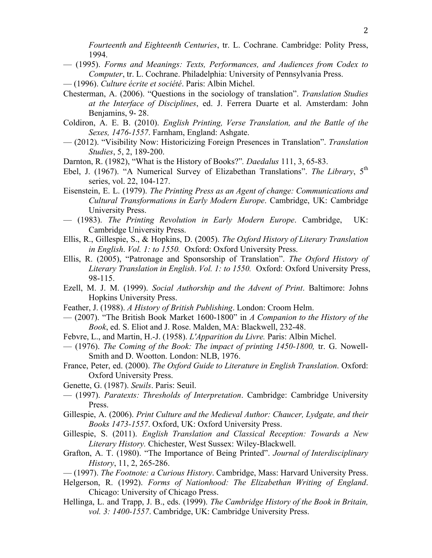*Fourteenth and Eighteenth Centuries*, tr. L. Cochrane. Cambridge: Polity Press, 1994.

- (1995). *Forms and Meanings: Texts, Performances, and Audiences from Codex to Computer*, tr. L. Cochrane. Philadelphia: University of Pennsylvania Press.
- (1996). *Culture écrite et société*. Paris: Albin Michel.
- Chesterman, A. (2006). "Questions in the sociology of translation". *Translation Studies at the Interface of Disciplines*, ed. J. Ferrera Duarte et al. Amsterdam: John Benjamins, 9- 28.
- Coldiron, A. E. B. (2010). *English Printing, Verse Translation, and the Battle of the Sexes, 1476-1557*. Farnham, England: Ashgate.
- (2012). "Visibility Now: Historicizing Foreign Presences in Translation". *Translation Studies*, 5, 2, 189-200.
- Darnton, R. (1982), "What is the History of Books?"*. Daedalus* 111, 3, 65-83.
- Ebel, J. (1967). "A Numerical Survey of Elizabethan Translations". The Library, 5<sup>th</sup> series, vol. 22, 104-127.
- Eisenstein, E. L. (1979). *The Printing Press as an Agent of change: Communications and Cultural Transformations in Early Modern Europe*. Cambridge, UK: Cambridge University Press.
- (1983). *The Printing Revolution in Early Modern Europe*. Cambridge, UK: Cambridge University Press.
- Ellis, R., Gillespie, S., & Hopkins, D. (2005). *The Oxford History of Literary Translation in English*. *Vol. 1: to 1550.* Oxford: Oxford University Press.
- Ellis, R. (2005), "Patronage and Sponsorship of Translation". *The Oxford History of Literary Translation in English*. *Vol. 1: to 1550.* Oxford: Oxford University Press, 98-115.
- Ezell, M. J. M. (1999). *Social Authorship and the Advent of Print*. Baltimore: Johns Hopkins University Press.
- Feather, J. (1988). *A History of British Publishing*. London: Croom Helm.
- (2007). "The British Book Market 1600-1800" in *A Companion to the History of the Book*, ed. S. Eliot and J. Rose. Malden, MA: Blackwell, 232-48.
- Febvre, L., and Martin, H.-J. (1958). *L'Apparition du Livre.* Paris: Albin Michel.
- (1976). *The Coming of the Book: The impact of printing 1450-1800,* tr. G. Nowell-Smith and D. Wootton. London: NLB, 1976.
- France, Peter, ed. (2000). *The Oxford Guide to Literature in English Translation*. Oxford: Oxford University Press.
- Genette, G. (1987). *Seuils*. Paris: Seuil.
- (1997). *Paratexts: Thresholds of Interpretation*. Cambridge: Cambridge University Press.
- Gillespie, A. (2006). *Print Culture and the Medieval Author: Chaucer, Lydgate, and their Books 1473-1557*. Oxford, UK: Oxford University Press.
- Gillespie, S. (2011). *English Translation and Classical Reception: Towards a New Literary History.* Chichester, West Sussex: Wiley-Blackwell.
- Grafton, A. T. (1980). "The Importance of Being Printed". *Journal of Interdisciplinary History*, 11, 2, 265-286.
- (1997). *The Footnote: a Curious History*. Cambridge, Mass: Harvard University Press.
- Helgerson, R. (1992). *Forms of Nationhood: The Elizabethan Writing of England*. Chicago: University of Chicago Press.
- Hellinga, L. and Trapp, J. B., eds. (1999). *The Cambridge History of the Book in Britain, vol. 3: 1400-1557*. Cambridge, UK: Cambridge University Press.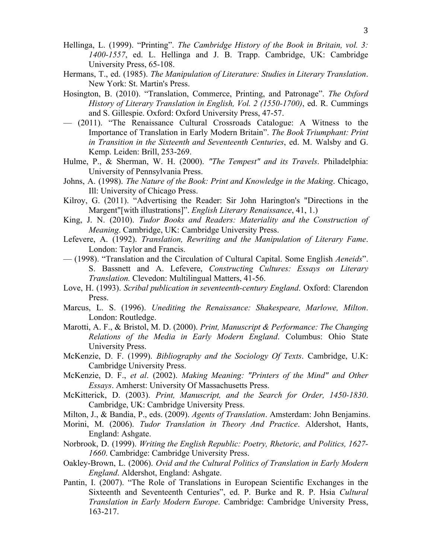- 3
- Hellinga, L. (1999). "Printing". *The Cambridge History of the Book in Britain, vol. 3: 1400-1557*, ed. L. Hellinga and J. B. Trapp. Cambridge, UK: Cambridge University Press, 65-108.
- Hermans, T., ed. (1985). *The Manipulation of Literature: Studies in Literary Translation*. New York: St. Martin's Press.
- Hosington, B. (2010). "Translation, Commerce, Printing, and Patronage". *The Oxford History of Literary Translation in English, Vol. 2 (1550-1700)*, ed. R. Cummings and S. Gillespie. Oxford: Oxford University Press, 47-57.
- (2011). "The Renaissance Cultural Crossroads Catalogue: A Witness to the Importance of Translation in Early Modern Britain". *The Book Triumphant: Print in Transition in the Sixteenth and Seventeenth Centuries*, ed. M. Walsby and G. Kemp. Leiden: Brill, 253-269.
- Hulme, P., & Sherman, W. H. (2000). *"The Tempest" and its Travels*. Philadelphia: University of Pennsylvania Press.
- Johns, A. (1998). *The Nature of the Book: Print and Knowledge in the Making*. Chicago, Ill: University of Chicago Press.
- Kilroy, G. (2011). "Advertising the Reader: Sir John Harington's "Directions in the Margent"[with illustrations]". *English Literary Renaissance*, 41, 1.)
- King, J. N. (2010). *Tudor Books and Readers: Materiality and the Construction of Meaning*. Cambridge, UK: Cambridge University Press.
- Lefevere, A. (1992). *Translation, Rewriting and the Manipulation of Literary Fame*. London: Taylor and Francis.
- (1998). "Translation and the Circulation of Cultural Capital. Some English *Aeneids*". S. Bassnett and A. Lefevere, *Constructing Cultures: Essays on Literary Translation.* Clevedon: Multilingual Matters, 41-56.
- Love, H. (1993). *Scribal publication in seventeenth-century England*. Oxford: Clarendon Press.
- Marcus, L. S. (1996). *Unediting the Renaissance: Shakespeare, Marlowe, Milton*. London: Routledge.
- Marotti, A. F., & Bristol, M. D. (2000). *Print, Manuscript & Performance: The Changing Relations of the Media in Early Modern England*. Columbus: Ohio State University Press.
- McKenzie, D. F. (1999). *Bibliography and the Sociology Of Texts*. Cambridge, U.K: Cambridge University Press.
- McKenzie, D. F., *et al*. (2002). *Making Meaning: "Printers of the Mind" and Other Essays*. Amherst: University Of Massachusetts Press.
- McKitterick, D. (2003). *Print, Manuscript, and the Search for Order, 1450-1830*. Cambridge, UK: Cambridge University Press.
- Milton, J., & Bandia, P., eds. (2009). *Agents of Translation*. Amsterdam: John Benjamins.
- Morini, M. (2006). *Tudor Translation in Theory And Practice*. Aldershot, Hants, England: Ashgate.
- Norbrook, D. (1999). *Writing the English Republic: Poetry, Rhetoric, and Politics, 1627- 1660*. Cambridge: Cambridge University Press.
- Oakley-Brown, L. (2006). *Ovid and the Cultural Politics of Translation in Early Modern England*. Aldershot, England: Ashgate.
- Pantin, I. (2007). "The Role of Translations in European Scientific Exchanges in the Sixteenth and Seventeenth Centuries", ed. P. Burke and R. P. Hsia *Cultural Translation in Early Modern Europe*. Cambridge: Cambridge University Press, 163-217.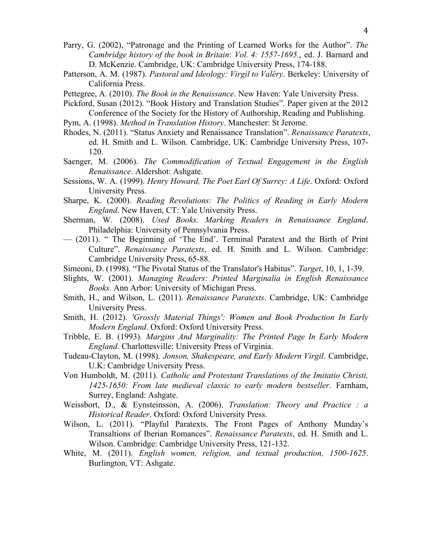- Parry, G. (2002), "Patronage and the Printing of Learned Works for the Author". *The Cambridge history of the book in Britain*: *Vol. 4: 1557-1695.*, ed. J. Barnard and D. McKenzie. Cambridge, UK: Cambridge University Press, 174-188.
- Patterson, A. M. (1987). *Pastoral and Ideology: Virgil to Valéry*. Berkeley: University of California Press.
- Pettegree, A. (2010). *The Book in the Renaissance*. New Haven: Yale University Press.
- Pickford, Susan (2012). "Book History and Translation Studies". Paper given at the 2012 Conference of the Society for the History of Authorship, Reading and Publishing.
- Pym, A. (1998). *Method in Translation History*. Manchester: St Jerome.
- Rhodes, N. (2011). "Status Anxiety and Renaissance Translation". *Renaissance Paratexts*, ed. H. Smith and L. Wilson. Cambridge, UK: Cambridge University Press, 107- 120.
- Saenger, M. (2006). *The Commodification of Textual Engagement in the English Renaissance*. Aldershot: Ashgate.
- Sessions, W. A. (1999). *Henry Howard, The Poet Earl Of Surrey: A Life*. Oxford: Oxford University Press.
- Sharpe, K. (2000). *Reading Revolutions: The Politics of Reading in Early Modern England*. New Haven, CT: Yale University Press.
- Sherman, W. (2008). *Used Books. Marking Readers in Renaissance England*. Philadelphia: University of Pennsylvania Press.
- (2011). " The Beginning of 'The End'. Terminal Paratext and the Birth of Print Culture". *Renaissance Paratexts*, ed. H. Smith and L. Wilson. Cambridge: Cambridge University Press, 65-88.
- Simeoni, D. (1998). "The Pivotal Status of the Translator's Habitus". *Target*, 10, 1, 1-39.
- Slights, W. (2001). *Managing Readers: Printed Marginalia in English Renaissance Books*. Ann Arbor: University of Michigan Press.
- Smith, H., and Wilson, L. (2011). *Renaissance Paratexts*. Cambridge, UK: Cambridge University Press.
- Smith, H. (2012). *'Grossly Material Things': Women and Book Production In Early Modern England*. Oxford: Oxford University Press.
- Tribble, E. B. (1993). *Margins And Marginality: The Printed Page In Early Modern England*. Charlottesville: University Press of Virginia.
- Tudeau-Clayton, M. (1998). *Jonson, Shakespeare, and Early Modern Virgil*. Cambridge, U.K: Cambridge University Press.
- Von Humboldt, M. (2011). *Catholic and Protestant Translations of the Imitatio Christi, 1425-1650: From late medieval classic to early modern bestseller*. Farnham, Surrey, England: Ashgate.
- Weissbort, D., & Eynsteinsson, A. (2006). *Translation: Theory and Practice : a Historical Reader*. Oxford: Oxford University Press.
- Wilson, L. (2011). "Playful Paratexts. The Front Pages of Anthony Munday's Transaltions of Iberian Romances". *Renaissance Paratexts*, ed. H. Smith and L. Wilson. Cambridge: Cambridge University Press, 121-132.
- White, M. (2011). *English women, religion, and textual production, 1500-1625*. Burlington, VT: Ashgate.